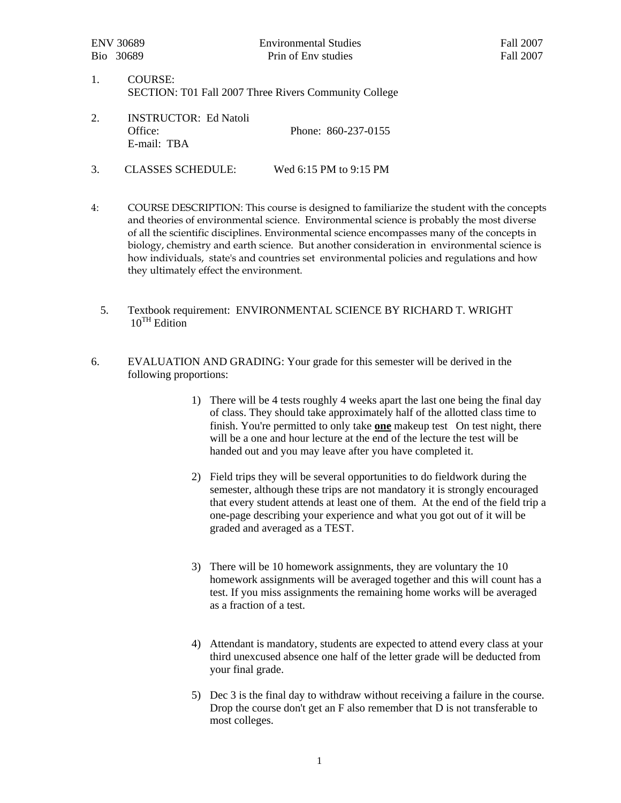- 1. COURSE: SECTION: T01 Fall 2007 Three Rivers Community College
- 2. INSTRUCTOR: Ed Natoli Office: Phone: 860-237-0155 E-mail: TBA
- 3. CLASSES SCHEDULE: Wed 6:15 PM to 9:15 PM
- 4: COURSE DESCRIPTION: This course is designed to familiarize the student with the concepts and theories of environmental science. Environmental science is probably the most diverse of all the scientific disciplines. Environmental science encompasses many of the concepts in biology, chemistry and earth science. But another consideration in environmental science is how individuals, state's and countries set environmental policies and regulations and how they ultimately effect the environment.
	- 5. Textbook requirement: ENVIRONMENTAL SCIENCE BY RICHARD T. WRIGHT  $10^{TH}$  Edition
- 6. EVALUATION AND GRADING: Your grade for this semester will be derived in the following proportions:
	- 1) There will be 4 tests roughly 4 weeks apart the last one being the final day of class. They should take approximately half of the allotted class time to finish. You're permitted to only take **one** makeup test On test night, there will be a one and hour lecture at the end of the lecture the test will be handed out and you may leave after you have completed it.
	- 2) Field trips they will be several opportunities to do fieldwork during the semester, although these trips are not mandatory it is strongly encouraged that every student attends at least one of them. At the end of the field trip a one-page describing your experience and what you got out of it will be graded and averaged as a TEST.
	- 3) There will be 10 homework assignments, they are voluntary the 10 homework assignments will be averaged together and this will count has a test. If you miss assignments the remaining home works will be averaged as a fraction of a test.
	- 4) Attendant is mandatory, students are expected to attend every class at your third unexcused absence one half of the letter grade will be deducted from your final grade.
	- 5) Dec 3 is the final day to withdraw without receiving a failure in the course. Drop the course don't get an F also remember that D is not transferable to most colleges.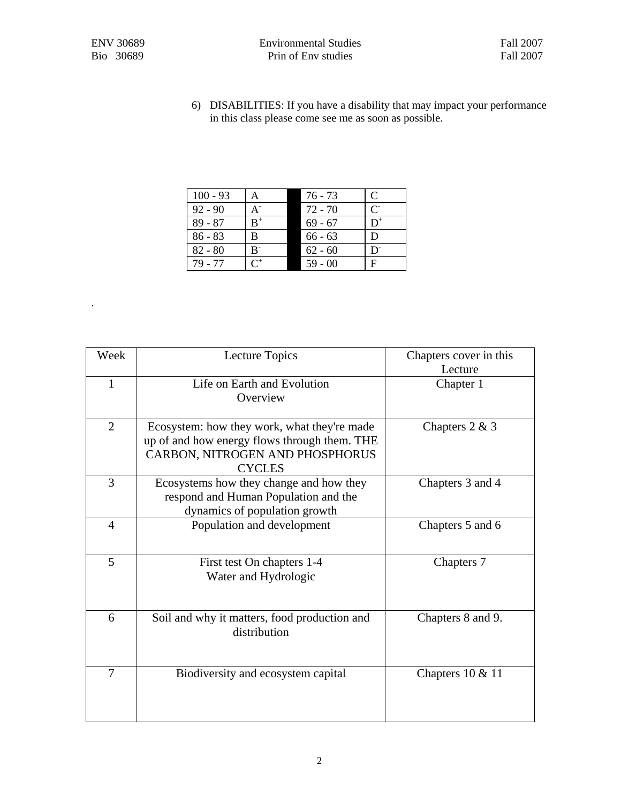.

6) DISABILITIES: If you have a disability that may impact your performance in this class please come see me as soon as possible.

| $100 - 93$ | A                   | 76 - 73   | C                         |
|------------|---------------------|-----------|---------------------------|
| $92 - 90$  | A <sup>-</sup>      | $72 - 70$ | $\mathsf{C}^{\mathsf{L}}$ |
| $89 - 87$  | $B^+$               | $69 - 67$ | $D^+$                     |
| $86 - 83$  | В                   | $66 - 63$ | D                         |
| $82 - 80$  | $B^-$               | $62 - 60$ | D                         |
| 79 - 77    | $\mathsf{\Gamma}^+$ | $59 - 00$ | F                         |

| Week           | Lecture Topics                                                                                                                                  | Chapters cover in this<br>Lecture |
|----------------|-------------------------------------------------------------------------------------------------------------------------------------------------|-----------------------------------|
| $\mathbf{1}$   | Life on Earth and Evolution<br>Overview                                                                                                         | Chapter 1                         |
| 2              | Ecosystem: how they work, what they're made<br>up of and how energy flows through them. THE<br>CARBON, NITROGEN AND PHOSPHORUS<br><b>CYCLES</b> | Chapters $2 & 3$                  |
| 3              | Ecosystems how they change and how they<br>respond and Human Population and the<br>dynamics of population growth                                | Chapters 3 and 4                  |
| $\overline{4}$ | Population and development                                                                                                                      | Chapters 5 and 6                  |
| 5              | First test On chapters 1-4<br>Water and Hydrologic                                                                                              | Chapters 7                        |
| 6              | Soil and why it matters, food production and<br>distribution                                                                                    | Chapters 8 and 9.                 |
| $\overline{7}$ | Biodiversity and ecosystem capital                                                                                                              | Chapters $10 \& 11$               |